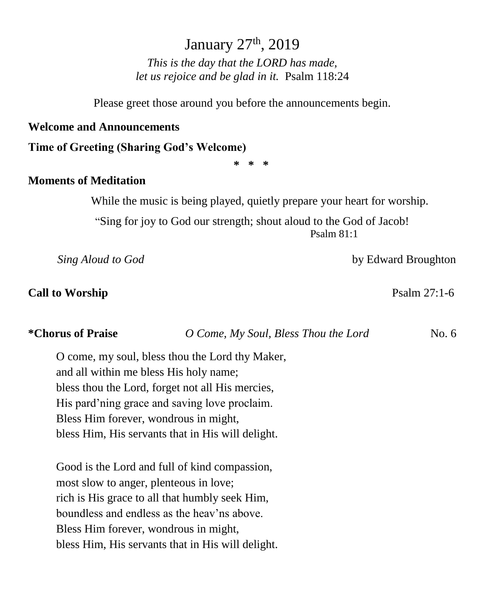January 27<sup>th</sup>, 2019 *This is the day that the LORD has made, let us rejoice and be glad in it.* Psalm 118:24

Please greet those around you before the announcements begin.

#### **Welcome and Announcements**

**Time of Greeting (Sharing God's Welcome)**

**\* \* \***

#### **Moments of Meditation**

While the music is being played, quietly prepare your heart for worship.

"Sing for joy to God our strength; shout aloud to the God of Jacob! Psalm 81:1

 *Sing Aloud to God* by Edward Broughton

#### **Call to Worship** Psalm 27:1-6

## **\*Chorus of Praise** *O Come, My Soul, Bless Thou the Lord* No. 6

O come, my soul, bless thou the Lord thy Maker, and all within me bless His holy name; bless thou the Lord, forget not all His mercies, His pard'ning grace and saving love proclaim. Bless Him forever, wondrous in might, bless Him, His servants that in His will delight.

Good is the Lord and full of kind compassion, most slow to anger, plenteous in love; rich is His grace to all that humbly seek Him, boundless and endless as the heav'ns above. Bless Him forever, wondrous in might, bless Him, His servants that in His will delight.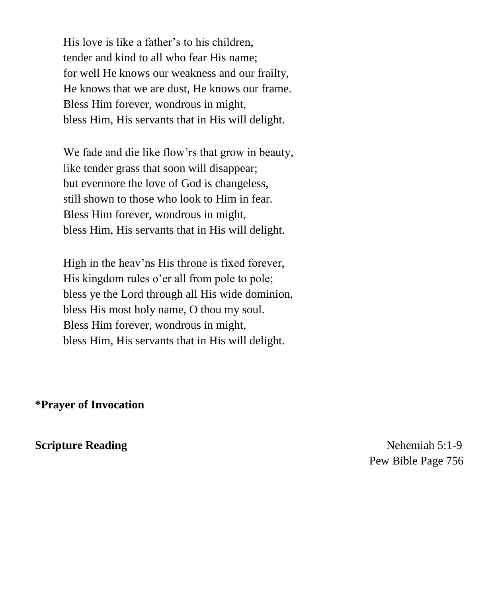His love is like a father's to his children, tender and kind to all who fear His name; for well He knows our weakness and our frailty, He knows that we are dust, He knows our frame. Bless Him forever, wondrous in might, bless Him, His servants that in His will delight.

We fade and die like flow'rs that grow in beauty, like tender grass that soon will disappear; but evermore the love of God is changeless, still shown to those who look to Him in fear. Bless Him forever, wondrous in might, bless Him, His servants that in His will delight.

High in the heav'ns His throne is fixed forever, His kingdom rules o'er all from pole to pole; bless ye the Lord through all His wide dominion, bless His most holy name, O thou my soul. Bless Him forever, wondrous in might, bless Him, His servants that in His will delight.

**\*Prayer of Invocation** 

**Scripture Reading** Nehemiah 5:1-9 Pew Bible Page 756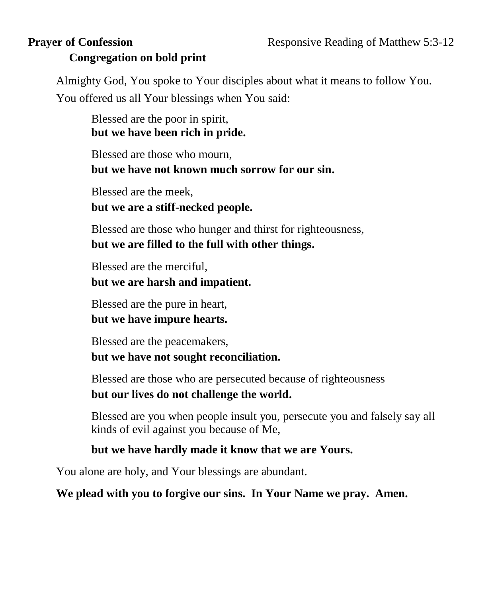# **Congregation on bold print**

Almighty God, You spoke to Your disciples about what it means to follow You.

You offered us all Your blessings when You said:

Blessed are the poor in spirit, **but we have been rich in pride.**

Blessed are those who mourn, **but we have not known much sorrow for our sin.**

Blessed are the meek, **but we are a stiff-necked people.**

Blessed are those who hunger and thirst for righteousness, **but we are filled to the full with other things.**

Blessed are the merciful, **but we are harsh and impatient.**

Blessed are the pure in heart, **but we have impure hearts.**

Blessed are the peacemakers, **but we have not sought reconciliation.**

Blessed are those who are persecuted because of righteousness **but our lives do not challenge the world.**

Blessed are you when people insult you, persecute you and falsely say all kinds of evil against you because of Me,

**but we have hardly made it know that we are Yours.**

You alone are holy, and Your blessings are abundant.

**We plead with you to forgive our sins. In Your Name we pray. Amen.**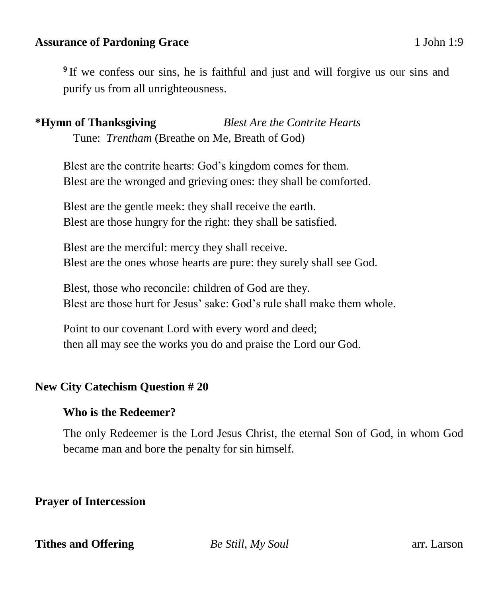#### **Assurance of Pardoning Grace** 1 John 1:9

<sup>9</sup> If we confess our sins, he is faithful and just and will forgive us our sins and purify us from all unrighteousness.

### **\*Hymn of Thanksgiving** *Blest Are the Contrite Hearts*

Tune: *Trentham* (Breathe on Me, Breath of God)

Blest are the contrite hearts: God's kingdom comes for them. Blest are the wronged and grieving ones: they shall be comforted.

Blest are the gentle meek: they shall receive the earth. Blest are those hungry for the right: they shall be satisfied.

Blest are the merciful: mercy they shall receive. Blest are the ones whose hearts are pure: they surely shall see God.

Blest, those who reconcile: children of God are they. Blest are those hurt for Jesus' sake: God's rule shall make them whole.

Point to our covenant Lord with every word and deed; then all may see the works you do and praise the Lord our God.

#### **New City Catechism Question # 20**

#### **Who is the Redeemer?**

The only Redeemer is the Lord Jesus Christ, the eternal Son of God, in whom God became man and bore the penalty for sin himself.

#### **Prayer of Intercession**

**Tithes and Offering** *Be Still, My Soul* **arr.** Larson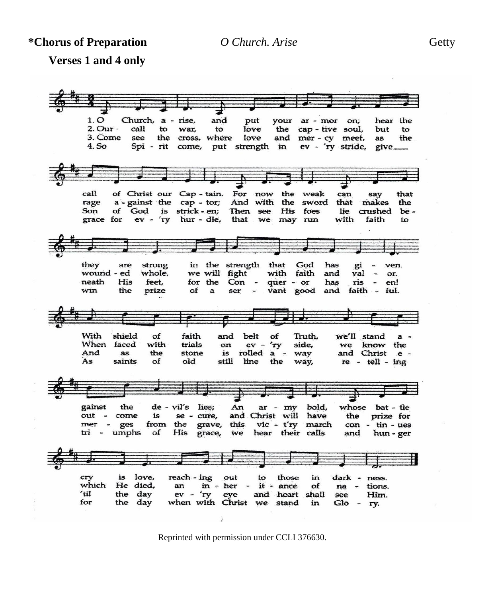\*Chorus of Preparation *O Church. Arise* Getty

 **Verses 1 and 4 only**

 $1.0$ Church. a - rise. and put your ar - mor on; hear the  $2.$  Our  $\cdot$ love call  $to$ war, to the cap-tive soul, but to 3. Come love see the cross, where and mer-cy meet, as the Spi - rit come, put strength in ev - 'rv stride, give\_\_\_  $4.5<sub>o</sub>$ call of Christ our Cap - tain. For now the weak can say that  $a -$  gainst the cap - tor; And with the sword rage that makes the of God is strick-en; Son Then see His foes lie crushed begrace for ev - 'ry hur - dle, that we may run with faith to they strong in the strength that God are has gi ven. wound - ed whole, we will fight with faith and val or. neath His has feet, for the Con  $quer - or$ ris - $\overline{\phantom{a}}$ en! vant good win the prize of  $\mathbf{a}$ ser  $\overline{\phantom{a}}$ and faith - ful. With shield of faith and belt of Truth. we'll stand  $\mathbf{a}$ When faced with trials side, on  $ev -'ry$ we know the as rolled a - way and Christ e -And the stone is As saints of old still line the way,  $re - tell - ing$ whose bat - tle gainst the de - vil's lies; An bold,  $ar - my$ out - come is se - cure, and Christ will have the prize for from the grave, this<br>of His grace, we mer - ges vic - t'ry march con - tin - ues hear their calls tri - umphs of we and  $hun - ger$ reach - ing out cry is love, to those in dark - ness. which He died, of an  $in - her - it - once$ na - tions. ʻtil the day ev - 'ry eye and heart shall Him. see for the day when with Christ we stand in  $Glo - ry.$ 

Reprinted with permission under CCLI 376630.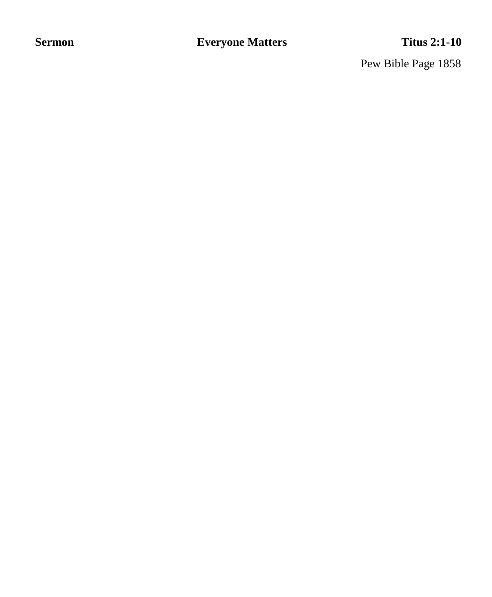**Titus 2:1-10** 

Pew Bible Page 1858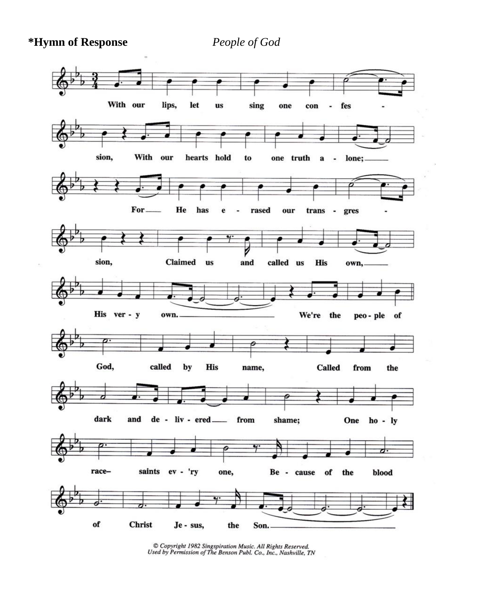**\*Hymn of Response** *People of God*



© Copyright 1982 Singspiration Music. All Rights Reserved.<br>Used by Permission of The Benson Publ. Co., Inc., Nashville, TN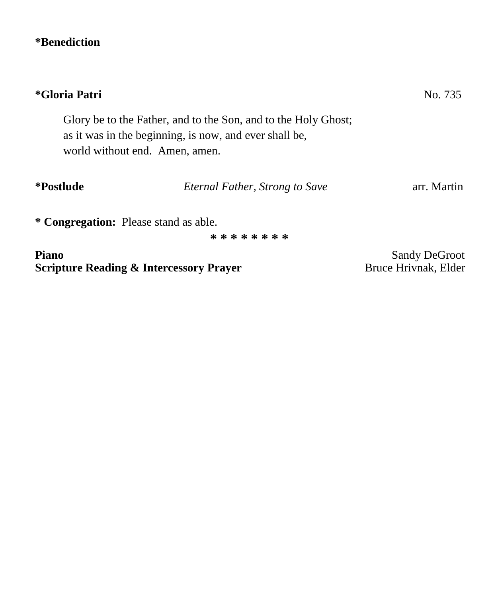#### **\*Benediction**

| *Gloria Patri                                               | No. 735                                                                                                                  |                                              |  |  |  |
|-------------------------------------------------------------|--------------------------------------------------------------------------------------------------------------------------|----------------------------------------------|--|--|--|
| world without end. Amen, amen.                              | Glory be to the Father, and to the Son, and to the Holy Ghost;<br>as it was in the beginning, is now, and ever shall be, |                                              |  |  |  |
| <i>*Postlude</i>                                            | Eternal Father, Strong to Save                                                                                           | arr. Martin                                  |  |  |  |
| * Congregation: Please stand as able.<br>* * * * * * * *    |                                                                                                                          |                                              |  |  |  |
| Piano<br><b>Scripture Reading &amp; Intercessory Prayer</b> |                                                                                                                          | <b>Sandy DeGroot</b><br>Bruce Hrivnak, Elder |  |  |  |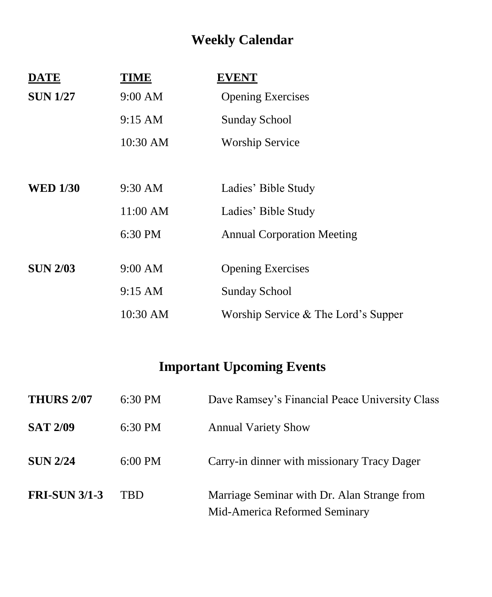# **Weekly Calendar**

| <b>DATE</b>     | <b>TIME</b> | <b>EVENT</b>                        |
|-----------------|-------------|-------------------------------------|
| <b>SUN 1/27</b> | 9:00 AM     | <b>Opening Exercises</b>            |
|                 | 9:15 AM     | <b>Sunday School</b>                |
|                 | 10:30 AM    | <b>Worship Service</b>              |
|                 |             |                                     |
| <b>WED 1/30</b> | 9:30 AM     | Ladies' Bible Study                 |
|                 | 11:00 AM    | Ladies' Bible Study                 |
|                 | 6:30 PM     | <b>Annual Corporation Meeting</b>   |
|                 |             |                                     |
| <b>SUN 2/03</b> | 9:00 AM     | <b>Opening Exercises</b>            |
|                 | 9:15 AM     | <b>Sunday School</b>                |
|                 | 10:30 AM    | Worship Service & The Lord's Supper |

# **Important Upcoming Events**

| <b>THURS 2/07</b>    | 6:30 PM           | Dave Ramsey's Financial Peace University Class |
|----------------------|-------------------|------------------------------------------------|
| <b>SAT 2/09</b>      | 6:30 PM           | <b>Annual Variety Show</b>                     |
| <b>SUN 2/24</b>      | $6:00 \text{ PM}$ | Carry-in dinner with missionary Tracy Dager    |
| <b>FRI-SUN 3/1-3</b> | TBD               | Marriage Seminar with Dr. Alan Strange from    |
|                      |                   | Mid-America Reformed Seminary                  |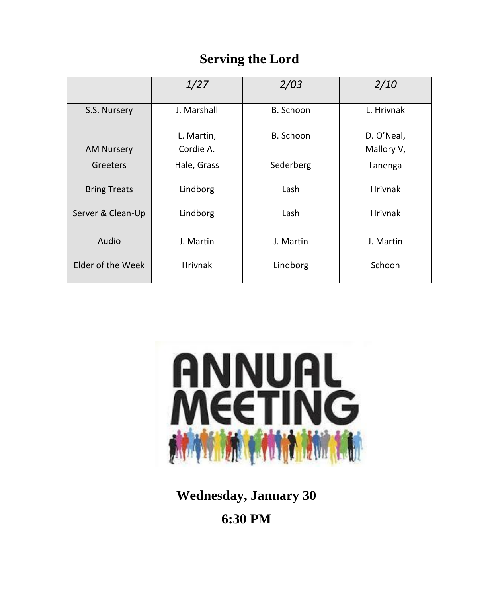## **Serving the Lord**

|                     | 1/27           | 2/03      | 2/10           |
|---------------------|----------------|-----------|----------------|
| S.S. Nursery        | J. Marshall    | B. Schoon | L. Hrivnak     |
|                     | L. Martin,     | B. Schoon | D. O'Neal,     |
| <b>AM Nursery</b>   | Cordie A.      |           | Mallory V,     |
| Greeters            | Hale, Grass    | Sederberg | Lanenga        |
| <b>Bring Treats</b> | Lindborg       | Lash      | Hrivnak        |
| Server & Clean-Up   | Lindborg       | Lash      | <b>Hrivnak</b> |
| Audio               | J. Martin      | J. Martin | J. Martin      |
| Elder of the Week   | <b>Hrivnak</b> | Lindborg  | Schoon         |



**Wednesday, January 30 6:30 PM**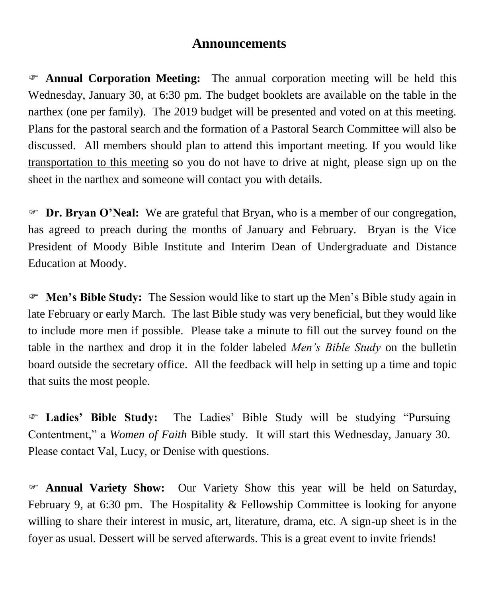#### **Announcements**

 **Annual Corporation Meeting:** The annual corporation meeting will be held this Wednesday, January 30, at 6:30 pm. The budget booklets are available on the table in the narthex (one per family). The 2019 budget will be presented and voted on at this meeting. Plans for the pastoral search and the formation of a Pastoral Search Committee will also be discussed. All members should plan to attend this important meeting. If you would like transportation to this meeting so you do not have to drive at night, please sign up on the sheet in the narthex and someone will contact you with details.

 **Dr. Bryan O'Neal:** We are grateful that Bryan, who is a member of our congregation, has agreed to preach during the months of January and February. Bryan is the Vice President of Moody Bible Institute and Interim Dean of Undergraduate and Distance Education at Moody.

 **Men's Bible Study:** The Session would like to start up the Men's Bible study again in late February or early March. The last Bible study was very beneficial, but they would like to include more men if possible. Please take a minute to fill out the survey found on the table in the narthex and drop it in the folder labeled *Men's Bible Study* on the bulletin board outside the secretary office. All the feedback will help in setting up a time and topic that suits the most people.

 **Ladies' Bible Study:** The Ladies' Bible Study will be studying "Pursuing Contentment," a *Women of Faith* Bible study. It will start this Wednesday, January 30. Please contact Val, Lucy, or Denise with questions.

 **Annual Variety Show:** Our Variety Show this year will be held on Saturday, February 9, at 6:30 pm. The Hospitality & Fellowship Committee is looking for anyone willing to share their interest in music, art, literature, drama, etc. A sign-up sheet is in the foyer as usual. Dessert will be served afterwards. This is a great event to invite friends!